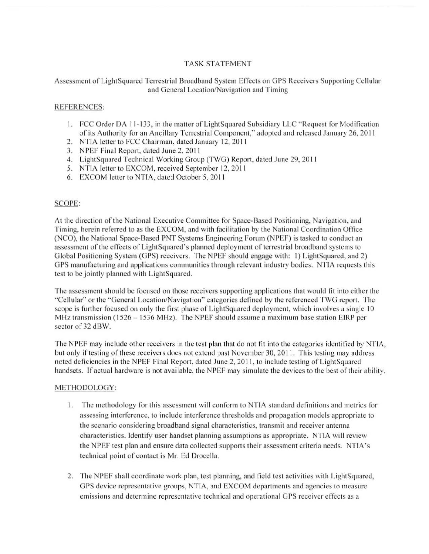## **TASK STATEMENT**

### Assessment of LightSquared Terrestrial Broadband System Effects on GPS Receivers Supporting Cellular and General Location/Navigation and Timing

#### **REFERENCES:**

- 1. FCC Order DA 11-133, in the matter of LightSquared Subsidiary LLC "Request for Modification" of its Authority for an Ancillary Terrestrial Component," adopted and released January 26, 2011
- 2. NTIA letter to FCC Chairman, dated January 12, 2011
- 3. NPEF Final Report, dated June 2, 2011
- 4. LightSquared Technical Working Group (TWG) Report, dated June 29, 2011
- 5. NTIA letter to EXCOM, received September 12, 2011
- 6. EXCOM letter to NTIA, dated October 5, 2011

### **SCOPE:**

At the direction of the National Executive Committee for Space-Based Positioning, Navigation, and Timing, herein referred to as the EXCOM, and with facilitation by the National Coordination Office (NCO), the National Space-Based PNT Systems Engineering Forum (NPEF) is tasked to conduct an assessment of the effects of LightSquared's planned deployment of terrestrial broadband systems to Global Positioning System (GPS) receivers. The NPEF should engage with: 1) LightSquared, and 2) GPS manufacturing and applications communities through relevant industry bodies. NTIA requests this test to be jointly planned with LightSquared.

The assessment should be focused on those receivers supporting applications that would fit into either the "Cellular" or the "General Location/Navigation" categories defined by the referenced TWG report. The scope is further focused on only the first phase of LightSquared deployment, which involves a single 10 MHz transmission (1526 - 1536 MHz). The NPEF should assume a maximum base station EIRP per sector of 32 dBW.

The NPEF may include other receivers in the test plan that do not fit into the categories identified by NTIA, but only if testing of these receivers does not extend past November 30, 2011. This testing may address noted deficiencies in the NPEF Final Report, dated June 2, 2011, to include testing of LightSquared handsets. If actual hardware is not available, the NPEF may simulate the devices to the best of their ability.

#### METHODOLOGY:

- 1. The methodology for this assessment will conform to NTIA standard definitions and metrics for assessing interference, to include interference thresholds and propagation models appropriate to the scenario considering broadband signal characteristics, transmit and receiver antenna characteristics. Identify user handset planning assumptions as appropriate. NTIA will review the NPEF test plan and ensure data collected supports their assessment criteria needs. NTIA's technical point of contact is Mr. Ed Drocella.
- 2. The NPEF shall coordinate work plan, test planning, and field test activities with LightSquared, GPS device representative groups, NTIA, and EXCOM departments and agencies to measure emissions and determine representative technical and operational GPS receiver effects as a